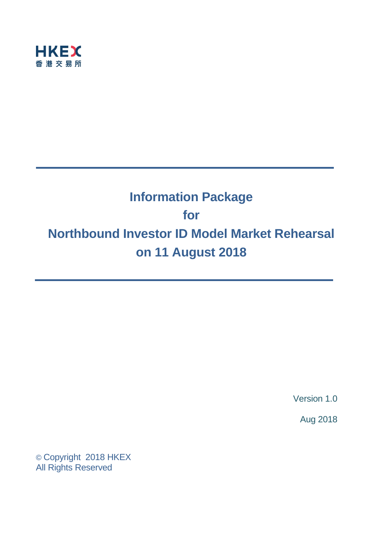

# **Information Package for Northbound Investor ID Model Market Rehearsal on 11 August 2018**

Version 1.0

Aug 2018

© Copyright 2018 HKEX All Rights Reserved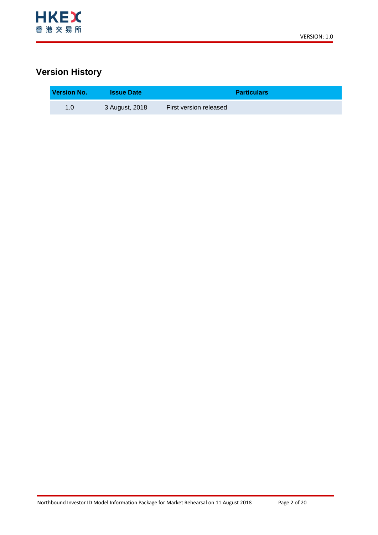

## **Version History**

| Version No. | <b>Issue Date</b> | <b>Particulars</b>     |
|-------------|-------------------|------------------------|
| 1.0         | 3 August, 2018    | First version released |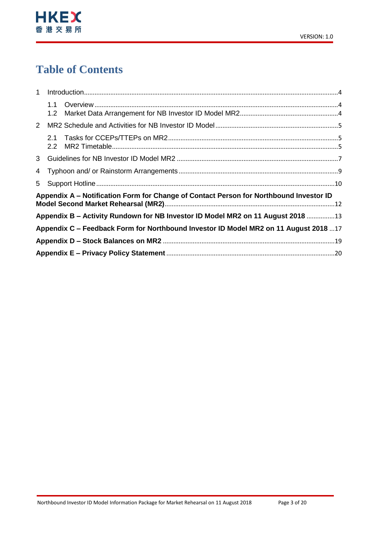

# **Table of Contents**

| $\mathbf{1}$ |                  |                                                                                        |  |
|--------------|------------------|----------------------------------------------------------------------------------------|--|
|              |                  |                                                                                        |  |
|              | 1.2 <sub>1</sub> |                                                                                        |  |
| $\mathbf{2}$ |                  |                                                                                        |  |
|              |                  |                                                                                        |  |
|              | 2.2              |                                                                                        |  |
|              |                  |                                                                                        |  |
|              |                  |                                                                                        |  |
|              |                  |                                                                                        |  |
|              |                  | Appendix A – Notification Form for Change of Contact Person for Northbound Investor ID |  |
|              |                  |                                                                                        |  |
|              |                  | Appendix B – Activity Rundown for NB Investor ID Model MR2 on 11 August 2018 13        |  |
|              |                  | Appendix C - Feedback Form for Northbound Investor ID Model MR2 on 11 August 2018 17   |  |
|              |                  |                                                                                        |  |
|              |                  |                                                                                        |  |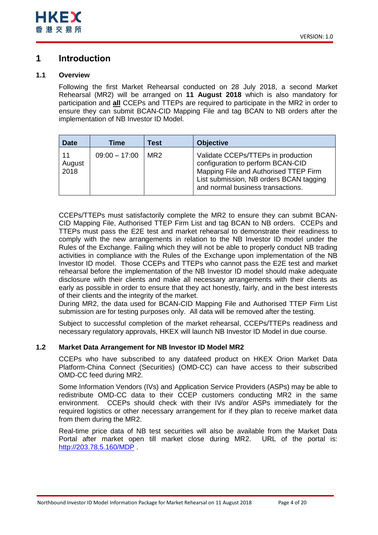## <span id="page-3-0"></span>**1 Introduction**

## <span id="page-3-1"></span>**1.1 Overview**

Following the first Market Rehearsal conducted on 28 July 2018, a second Market Rehearsal (MR2) will be arranged on **11 August 2018** which is also mandatory for participation and **all** CCEPs and TTEPs are required to participate in the MR2 in order to ensure they can submit BCAN-CID Mapping File and tag BCAN to NB orders after the implementation of NB Investor ID Model.

| <b>Date</b>          | Time            | Test            | <b>Objective</b>                                                                                                                                                                                 |
|----------------------|-----------------|-----------------|--------------------------------------------------------------------------------------------------------------------------------------------------------------------------------------------------|
| 11<br>August<br>2018 | $09:00 - 17:00$ | MR <sub>2</sub> | Validate CCEPs/TTEPs in production<br>configuration to perform BCAN-CID<br>Mapping File and Authorised TTEP Firm<br>List submission, NB orders BCAN tagging<br>and normal business transactions. |

CCEPs/TTEPs must satisfactorily complete the MR2 to ensure they can submit BCAN-CID Mapping File, Authorised TTEP Firm List and tag BCAN to NB orders. CCEPs and TTEPs must pass the E2E test and market rehearsal to demonstrate their readiness to comply with the new arrangements in relation to the NB Investor ID model under the Rules of the Exchange. Failing which they will not be able to properly conduct NB trading activities in compliance with the Rules of the Exchange upon implementation of the NB Investor ID model. Those CCEPs and TTEPs who cannot pass the E2E test and market rehearsal before the implementation of the NB Investor ID model should make adequate disclosure with their clients and make all necessary arrangements with their clients as early as possible in order to ensure that they act honestly, fairly, and in the best interests of their clients and the integrity of the market.

During MR2, the data used for BCAN-CID Mapping File and Authorised TTEP Firm List submission are for testing purposes only. All data will be removed after the testing.

Subject to successful completion of the market rehearsal, CCEPs/TTEPs readiness and necessary regulatory approvals, HKEX will launch NB Investor ID Model in due course.

## <span id="page-3-2"></span>**1.2 Market Data Arrangement for NB Investor ID Model MR2**

CCEPs who have subscribed to any datafeed product on HKEX Orion Market Data Platform-China Connect (Securities) (OMD-CC) can have access to their subscribed OMD-CC feed during MR2.

Some Information Vendors (IVs) and Application Service Providers (ASPs) may be able to redistribute OMD-CC data to their CCEP customers conducting MR2 in the same environment. CCEPs should check with their IVs and/or ASPs immediately for the required logistics or other necessary arrangement for if they plan to receive market data from them during the MR2.

Real-time price data of NB test securities will also be available from the Market Data Portal after market open till market close during MR2. URL of the portal is: <http://203.78.5.160/MDP> .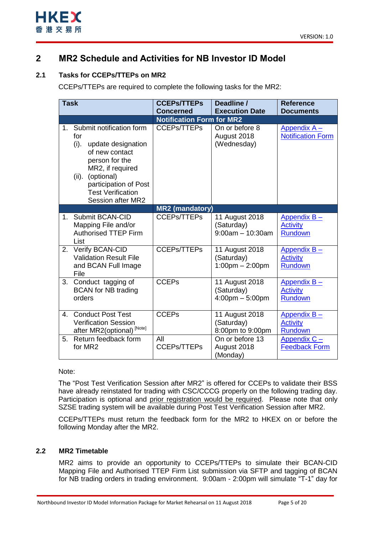



## <span id="page-4-0"></span>**2 MR2 Schedule and Activities for NB Investor ID Model**

## <span id="page-4-1"></span>**2.1 Tasks for CCEPs/TTEPs on MR2**

CCEPs/TTEPs are required to complete the following tasks for the MR2:

| <b>Task</b>    |                                                                                                                                                                                                                           | <b>CCEPs/TTEPs</b><br><b>Concerned</b> | Deadline /<br><b>Execution Date</b>                               | <b>Reference</b><br><b>Documents</b>             |
|----------------|---------------------------------------------------------------------------------------------------------------------------------------------------------------------------------------------------------------------------|----------------------------------------|-------------------------------------------------------------------|--------------------------------------------------|
|                |                                                                                                                                                                                                                           | <b>Notification Form for MR2</b>       |                                                                   |                                                  |
| 1 <sub>1</sub> | Submit notification form<br>for<br>(i).<br>update designation<br>of new contact<br>person for the<br>MR2, if required<br>(optional)<br>$(ii)$ .<br>participation of Post<br><b>Test Verification</b><br>Session after MR2 | <b>CCEPs/TTEPs</b>                     | On or before 8<br>August 2018<br>(Wednesday)                      | Appendix A-<br><b>Notification Form</b>          |
|                |                                                                                                                                                                                                                           | <b>MR2 (mandatory)</b>                 |                                                                   |                                                  |
| $1_{-}$        | Submit BCAN-CID<br>Mapping File and/or<br><b>Authorised TTEP Firm</b><br>List                                                                                                                                             | <b>CCEPs/TTEPs</b>                     | 11 August 2018<br>(Saturday)<br>$9:00am - 10:30am$                | Appendix B-<br><b>Activity</b><br>Rundown        |
| 2.             | Verify BCAN-CID<br><b>Validation Result File</b><br>and BCAN Full Image<br>File                                                                                                                                           | <b>CCEPs/TTEPs</b>                     | 11 August 2018<br>(Saturday)<br>$1:00$ pm $- 2:00$ pm             | Appendix B-<br><b>Activity</b><br><b>Rundown</b> |
| 3.             | Conduct tagging of<br><b>BCAN</b> for NB trading<br>orders                                                                                                                                                                | <b>CCEPs</b>                           | 11 August 2018<br>(Saturday)<br>$4:00 \text{pm} - 5:00 \text{pm}$ | Appendix B-<br><b>Activity</b><br>Rundown        |
| 4.             | <b>Conduct Post Test</b><br><b>Verification Session</b><br>after MR2(optional) <sup>[Note]</sup>                                                                                                                          | <b>CCEPs</b>                           | 11 August 2018<br>(Saturday)<br>8:00pm to 9:00pm                  | Appendix B-<br><b>Activity</b><br><b>Rundown</b> |
| 5.             | Return feedback form<br>for MR2                                                                                                                                                                                           | All<br><b>CCEPs/TTEPs</b>              | On or before 13<br>August 2018<br>(Monday)                        | Appendix $C -$<br><b>Feedback Form</b>           |

### Note:

The "Post Test Verification Session after MR2" is offered for CCEPs to validate their BSS have already reinstated for trading with CSC/CCCG properly on the following trading day. Participation is optional and prior registration would be required. Please note that only SZSE trading system will be available during Post Test Verification Session after MR2.

CCEPs/TTEPs must return the feedback form for the MR2 to HKEX on or before the following Monday after the MR2.

## <span id="page-4-2"></span>**2.2 MR2 Timetable**

MR2 aims to provide an opportunity to CCEPs/TTEPs to simulate their BCAN-CID Mapping File and Authorised TTEP Firm List submission via SFTP and tagging of BCAN for NB trading orders in trading environment. 9:00am - 2:00pm will simulate "T-1" day for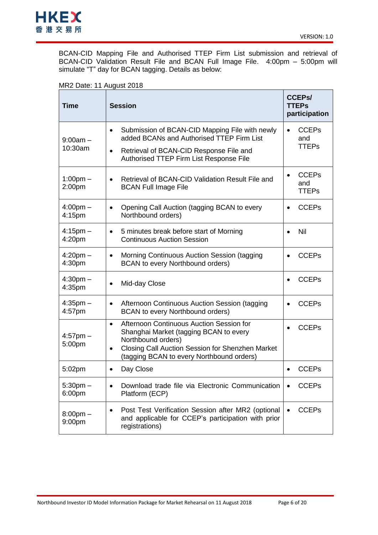

BCAN-CID Mapping File and Authorised TTEP Firm List submission and retrieval of BCAN-CID Validation Result File and BCAN Full Image File. 4:00pm – 5:00pm will simulate "T" day for BCAN tagging. Details as below:

## MR2 Date: 11 August 2018

| <b>Time</b>                         | <b>Session</b>                                                                                                                                                                                                                      | <b>CCEPs/</b><br><b>TTEPs</b><br>participation   |
|-------------------------------------|-------------------------------------------------------------------------------------------------------------------------------------------------------------------------------------------------------------------------------------|--------------------------------------------------|
| $9:00am -$                          | Submission of BCAN-CID Mapping File with newly<br>$\bullet$<br>added BCANs and Authorised TTEP Firm List                                                                                                                            | <b>CCEPs</b><br>$\bullet$<br>and                 |
| 10:30am                             | Retrieval of BCAN-CID Response File and<br>$\bullet$<br>Authorised TTEP Firm List Response File                                                                                                                                     | <b>TTEPs</b>                                     |
| $1:00$ pm $-$<br>2:00 <sub>pm</sub> | Retrieval of BCAN-CID Validation Result File and<br>$\bullet$<br><b>BCAN Full Image File</b>                                                                                                                                        | <b>CCEPs</b><br>$\bullet$<br>and<br><b>TTEPs</b> |
| $4:00pm -$<br>4:15pm                | Opening Call Auction (tagging BCAN to every<br>$\bullet$<br>Northbound orders)                                                                                                                                                      | <b>CCEPs</b><br>$\bullet$                        |
| $4:15$ pm $-$<br>4:20 <sub>pm</sub> | 5 minutes break before start of Morning<br>$\bullet$<br><b>Continuous Auction Session</b>                                                                                                                                           | Nil<br>$\bullet$                                 |
| $4:20$ pm $-$<br>4:30pm             | Morning Continuous Auction Session (tagging<br>$\bullet$<br><b>BCAN</b> to every Northbound orders)                                                                                                                                 | <b>CCEPs</b><br>$\bullet$                        |
| $4:30pm -$<br>4:35pm                | Mid-day Close<br>$\bullet$                                                                                                                                                                                                          | <b>CCEPs</b>                                     |
| $4:35$ pm $-$<br>4:57pm             | Afternoon Continuous Auction Session (tagging<br>$\bullet$<br><b>BCAN</b> to every Northbound orders)                                                                                                                               | <b>CCEPs</b>                                     |
| $4:57$ pm $-$<br>5:00pm             | Afternoon Continuous Auction Session for<br>$\bullet$<br>Shanghai Market (tagging BCAN to every<br>Northbound orders)<br>Closing Call Auction Session for Shenzhen Market<br>$\bullet$<br>(tagging BCAN to every Northbound orders) | <b>CCEPs</b><br>$\bullet$                        |
| 5:02pm                              | Day Close<br>$\bullet$                                                                                                                                                                                                              | <b>CCEPs</b>                                     |
| $5:30pm -$<br>6:00pm                | Download trade file via Electronic Communication<br>$\bullet$<br>Platform (ECP)                                                                                                                                                     | <b>CCEPs</b>                                     |
| $8:00$ pm $-$<br>9:00pm             | Post Test Verification Session after MR2 (optional<br>$\bullet$<br>and applicable for CCEP's participation with prior<br>registrations)                                                                                             | <b>CCEPs</b>                                     |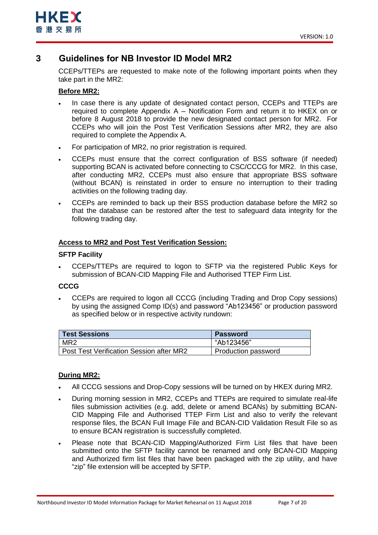

## <span id="page-6-0"></span>**3 Guidelines for NB Investor ID Model MR2**

CCEPs/TTEPs are requested to make note of the following important points when they take part in the MR2:

## **Before MR2:**

- In case there is any update of designated contact person, CCEPs and TTEPs are required to complete Appendix A – Notification Form and return it to HKEX on or before 8 August 2018 to provide the new designated contact person for MR2. For CCEPs who will join the Post Test Verification Sessions after MR2, they are also required to complete the Appendix A.
- For participation of MR2, no prior registration is required.
- CCEPs must ensure that the correct configuration of BSS software (if needed) supporting BCAN is activated before connecting to CSC/CCCG for MR2. In this case, after conducting MR2, CCEPs must also ensure that appropriate BSS software (without BCAN) is reinstated in order to ensure no interruption to their trading activities on the following trading day.
- CCEPs are reminded to back up their BSS production database before the MR2 so that the database can be restored after the test to safeguard data integrity for the following trading day.

### **Access to MR2 and Post Test Verification Session:**

### **SFTP Facility**

 CCEPs/TTEPs are required to logon to SFTP via the registered Public Keys for submission of BCAN-CID Mapping File and Authorised TTEP Firm List.

### **CCCG**

 CCEPs are required to logon all CCCG (including Trading and Drop Copy sessions) by using the assigned Comp ID(s) and password "Ab123456" or production password as specified below or in respective activity rundown:

| <b>Test Sessions</b>                            | <b>Password</b>     |
|-------------------------------------------------|---------------------|
| MR <sub>2</sub>                                 | "Ab123456"          |
| <b>Post Test Verification Session after MR2</b> | Production password |

## **During MR2:**

- All CCCG sessions and Drop-Copy sessions will be turned on by HKEX during MR2.
- During morning session in MR2, CCEPs and TTEPs are required to simulate real-life files submission activities (e.g. add, delete or amend BCANs) by submitting BCAN-CID Mapping File and Authorised TTEP Firm List and also to verify the relevant response files, the BCAN Full Image File and BCAN-CID Validation Result File so as to ensure BCAN registration is successfully completed.
- Please note that BCAN-CID Mapping/Authorized Firm List files that have been submitted onto the SFTP facility cannot be renamed and only BCAN-CID Mapping and Authorized firm list files that have been packaged with the zip utility, and have "zip" file extension will be accepted by SFTP.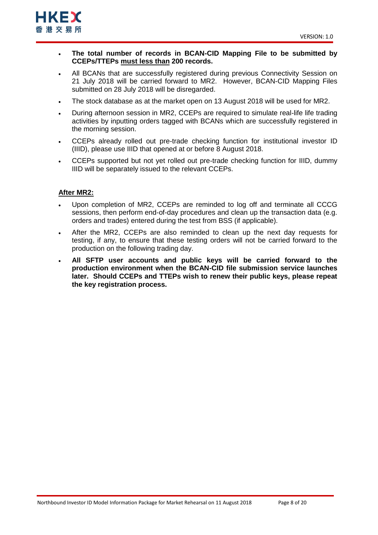

- **The total number of records in BCAN-CID Mapping File to be submitted by CCEPs/TTEPs must less than 200 records.**
- All BCANs that are successfully registered during previous Connectivity Session on 21 July 2018 will be carried forward to MR2. However, BCAN-CID Mapping Files submitted on 28 July 2018 will be disregarded.
- The stock database as at the market open on 13 August 2018 will be used for MR2.
- During afternoon session in MR2, CCEPs are required to simulate real-life life trading activities by inputting orders tagged with BCANs which are successfully registered in the morning session.
- CCEPs already rolled out pre-trade checking function for institutional investor ID (IIID), please use IIID that opened at or before 8 August 2018.
- CCEPs supported but not yet rolled out pre-trade checking function for IIID, dummy IIID will be separately issued to the relevant CCEPs.

## **After MR2:**

- Upon completion of MR2, CCEPs are reminded to log off and terminate all CCCG sessions, then perform end-of-day procedures and clean up the transaction data (e.g. orders and trades) entered during the test from BSS (if applicable).
- After the MR2, CCEPs are also reminded to clean up the next day requests for testing, if any, to ensure that these testing orders will not be carried forward to the production on the following trading day.
- **All SFTP user accounts and public keys will be carried forward to the production environment when the BCAN-CID file submission service launches later. Should CCEPs and TTEPs wish to renew their public keys, please repeat the key registration process.**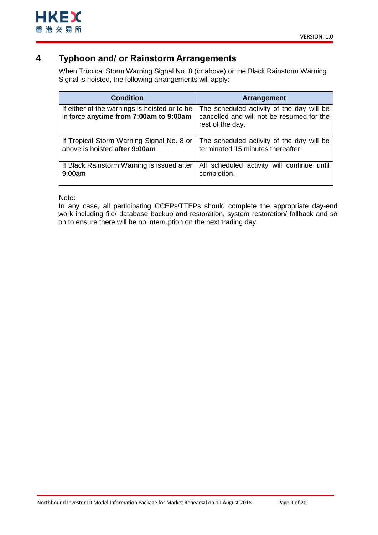## <span id="page-8-0"></span>**4 Typhoon and/ or Rainstorm Arrangements**

When Tropical Storm Warning Signal No. 8 (or above) or the Black Rainstorm Warning Signal is hoisted, the following arrangements will apply:

| <b>Condition</b>                                                                        | <b>Arrangement</b>                                                                                         |
|-----------------------------------------------------------------------------------------|------------------------------------------------------------------------------------------------------------|
| If either of the warnings is hoisted or to be<br>in force anytime from 7:00am to 9:00am | The scheduled activity of the day will be<br>cancelled and will not be resumed for the<br>rest of the day. |
| If Tropical Storm Warning Signal No. 8 or                                               | The scheduled activity of the day will be                                                                  |
| above is hoisted after 9:00am                                                           | terminated 15 minutes thereafter.                                                                          |
| If Black Rainstorm Warning is issued after                                              | All scheduled activity will continue until                                                                 |
| 9:00am                                                                                  | completion.                                                                                                |

Note:

In any case, all participating CCEPs/TTEPs should complete the appropriate day-end work including file/ database backup and restoration, system restoration/ fallback and so on to ensure there will be no interruption on the next trading day.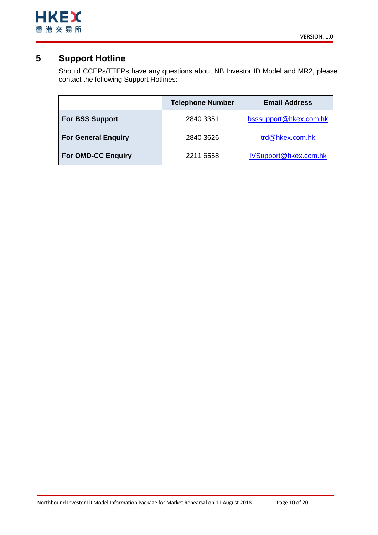

## <span id="page-9-0"></span>**5 Support Hotline**

Should CCEPs/TTEPs have any questions about NB Investor ID Model and MR2, please contact the following Support Hotlines:

|                            | <b>Telephone Number</b> | <b>Email Address</b>   |
|----------------------------|-------------------------|------------------------|
| <b>For BSS Support</b>     | 2840 3351               | bsssupport@hkex.com.hk |
| <b>For General Enquiry</b> | 2840 3626               | trd@hkex.com.hk        |
| <b>For OMD-CC Enquiry</b>  | 2211 6558               | IVSupport@hkex.com.hk  |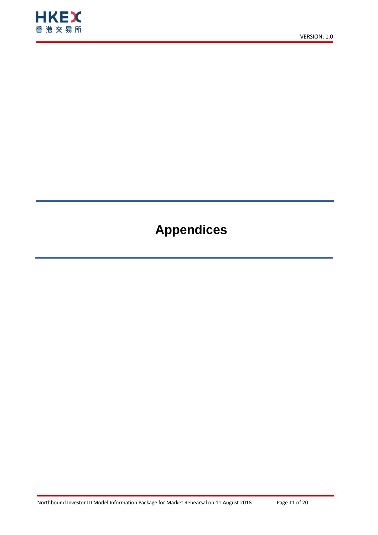

# **Appendices**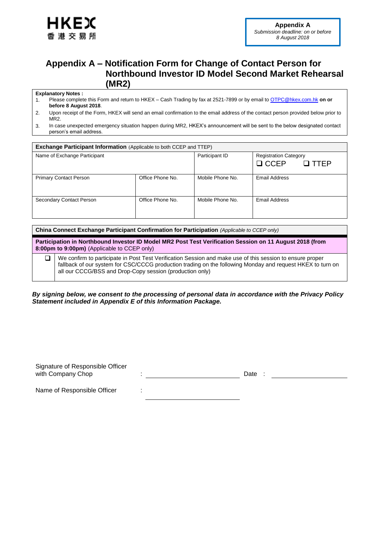

## <span id="page-11-0"></span>**Appendix A – Notification Form for Change of Contact Person for Northbound Investor ID Model Second Market Rehearsal (MR2)**

### **Explanatory Notes :**

- 1. Please complete this Form and return to HKEX Cash Trading by fax at 2521-7899 or by email to [OTPC@hkex.com.hk](mailto:OTPC@hkex.com.hk) **on or before 8 August 2018**.
- 2. Upon receipt of the Form, HKEX will send an email confirmation to the email address of the contact person provided below prior to MR2.
- 3. In case unexpected emergency situation happen during MR2, HKEX's announcement will be sent to the below designated contact person's email address.

| <b>Exchange Participant Information (Applicable to both CCEP and TTEP)</b> |                  |                  |                                                            |  |
|----------------------------------------------------------------------------|------------------|------------------|------------------------------------------------------------|--|
| Name of Exchange Participant                                               |                  | Participant ID   | <b>Registration Category</b><br>$\Box$ CCEP<br>$\Box$ TTFP |  |
|                                                                            |                  |                  |                                                            |  |
| <b>Primary Contact Person</b>                                              | Office Phone No. | Mobile Phone No. | Email Address                                              |  |
| Secondary Contact Person                                                   | Office Phone No. | Mobile Phone No. | Email Address                                              |  |

**China Connect Exchange Participant Confirmation for Participation** *(Applicable to CCEP only)*

**Participation in Northbound Investor ID Model MR2 Post Test Verification Session on 11 August 2018 (from 8:00pm to 9:00pm)** (Applicable to CCEP only)

□ We confirm to participate in Post Test Verification Session and make use of this session to ensure proper fallback of our system for CSC/CCCG production trading on the following Monday and request HKEX to turn on all our CCCG/BSS and Drop-Copy session (production only)

*By signing below, we consent to the processing of personal data in accordance with the Privacy Policy Statement included in Appendix E of this Information Package.*

| Signature of Responsible Officer |      |  |
|----------------------------------|------|--|
| with Company Chop                | Date |  |
|                                  |      |  |

Name of Responsible Officer :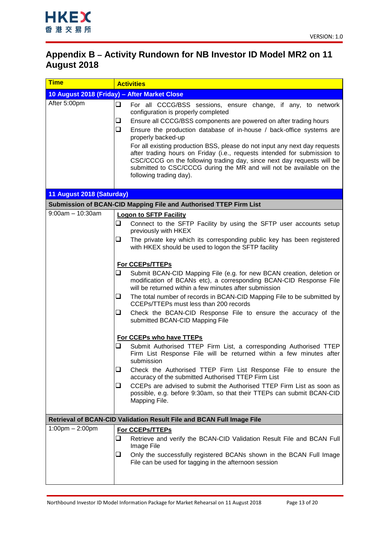

## <span id="page-12-0"></span>**Appendix B – Activity Rundown for NB Investor ID Model MR2 on 11 August 2018**

| <u>Time</u>                       | <b>Activities</b>                                                                                                                                                                                                                                                                                                                                                                                                                                                                                                                                                                                                            |  |
|-----------------------------------|------------------------------------------------------------------------------------------------------------------------------------------------------------------------------------------------------------------------------------------------------------------------------------------------------------------------------------------------------------------------------------------------------------------------------------------------------------------------------------------------------------------------------------------------------------------------------------------------------------------------------|--|
|                                   | 10 August 2018 (Friday) - After Market Close                                                                                                                                                                                                                                                                                                                                                                                                                                                                                                                                                                                 |  |
| After 5:00pm                      | ❏<br>For all CCCG/BSS sessions, ensure change, if any, to network<br>configuration is properly completed<br>Ensure all CCCG/BSS components are powered on after trading hours<br>❏<br>❏<br>Ensure the production database of in-house / back-office systems are<br>properly backed-up<br>For all existing production BSS, please do not input any next day requests<br>after trading hours on Friday (i.e., requests intended for submission to<br>CSC/CCCG on the following trading day, since next day requests will be<br>submitted to CSC/CCCG during the MR and will not be available on the<br>following trading day). |  |
| 11 August 2018 (Saturday)         |                                                                                                                                                                                                                                                                                                                                                                                                                                                                                                                                                                                                                              |  |
|                                   | Submission of BCAN-CID Mapping File and Authorised TTEP Firm List                                                                                                                                                                                                                                                                                                                                                                                                                                                                                                                                                            |  |
| $9:00am - 10:30am$                | <b>Logon to SFTP Facility</b>                                                                                                                                                                                                                                                                                                                                                                                                                                                                                                                                                                                                |  |
|                                   | ❏<br>Connect to the SFTP Facility by using the SFTP user accounts setup<br>previously with HKEX                                                                                                                                                                                                                                                                                                                                                                                                                                                                                                                              |  |
|                                   | ❏<br>The private key which its corresponding public key has been registered<br>with HKEX should be used to logon the SFTP facility                                                                                                                                                                                                                                                                                                                                                                                                                                                                                           |  |
|                                   | <b>For CCEPS/TTEPS</b>                                                                                                                                                                                                                                                                                                                                                                                                                                                                                                                                                                                                       |  |
|                                   | ❏<br>Submit BCAN-CID Mapping File (e.g. for new BCAN creation, deletion or<br>modification of BCANs etc), a corresponding BCAN-CID Response File<br>will be returned within a few minutes after submission                                                                                                                                                                                                                                                                                                                                                                                                                   |  |
|                                   | $\Box$<br>The total number of records in BCAN-CID Mapping File to be submitted by<br>CCEPs/TTEPs must less than 200 records                                                                                                                                                                                                                                                                                                                                                                                                                                                                                                  |  |
|                                   | ❏<br>Check the BCAN-CID Response File to ensure the accuracy of the<br>submitted BCAN-CID Mapping File                                                                                                                                                                                                                                                                                                                                                                                                                                                                                                                       |  |
|                                   | For CCEPs who have TTEPs                                                                                                                                                                                                                                                                                                                                                                                                                                                                                                                                                                                                     |  |
|                                   | ❏<br>Submit Authorised TTEP Firm List, a corresponding Authorised TTEP<br>Firm List Response File will be returned within a few minutes after<br>submission                                                                                                                                                                                                                                                                                                                                                                                                                                                                  |  |
|                                   | $\Box$<br>Check the Authorised TTEP Firm List Response File to ensure the<br>accuracy of the submitted Authorised TTEP Firm List                                                                                                                                                                                                                                                                                                                                                                                                                                                                                             |  |
|                                   | CCEPs are advised to submit the Authorised TTEP Firm List as soon as<br>⊔<br>possible, e.g. before 9:30am, so that their TTEPs can submit BCAN-CID<br>Mapping File.                                                                                                                                                                                                                                                                                                                                                                                                                                                          |  |
|                                   | Retrieval of BCAN-CID Validation Result File and BCAN Full Image File                                                                                                                                                                                                                                                                                                                                                                                                                                                                                                                                                        |  |
| $1:00 \text{pm} - 2:00 \text{pm}$ | For CCEPs/TTEPs                                                                                                                                                                                                                                                                                                                                                                                                                                                                                                                                                                                                              |  |
|                                   | ❏<br>Retrieve and verify the BCAN-CID Validation Result File and BCAN Full<br>Image File                                                                                                                                                                                                                                                                                                                                                                                                                                                                                                                                     |  |
|                                   | Only the successfully registered BCANs shown in the BCAN Full Image<br>⊔<br>File can be used for tagging in the afternoon session                                                                                                                                                                                                                                                                                                                                                                                                                                                                                            |  |
|                                   |                                                                                                                                                                                                                                                                                                                                                                                                                                                                                                                                                                                                                              |  |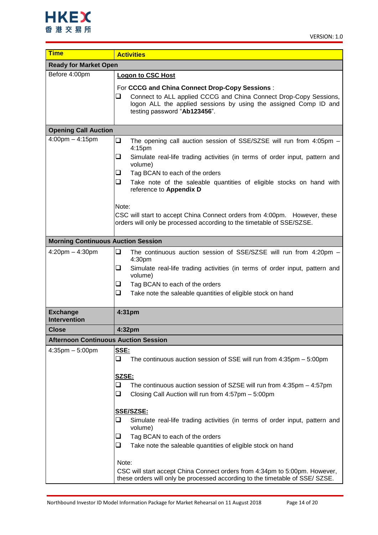| <b>Time</b>                                 | <b>Activities</b>                                                                                                                                                          |  |  |  |
|---------------------------------------------|----------------------------------------------------------------------------------------------------------------------------------------------------------------------------|--|--|--|
| <b>Ready for Market Open</b>                |                                                                                                                                                                            |  |  |  |
| Before 4:00pm                               | <b>Logon to CSC Host</b>                                                                                                                                                   |  |  |  |
|                                             | For CCCG and China Connect Drop-Copy Sessions :                                                                                                                            |  |  |  |
|                                             | Connect to ALL applied CCCG and China Connect Drop-Copy Sessions,<br>❏<br>logon ALL the applied sessions by using the assigned Comp ID and<br>testing password "Ab123456". |  |  |  |
| <b>Opening Call Auction</b>                 |                                                                                                                                                                            |  |  |  |
| $4:00 \text{pm} - 4:15 \text{pm}$           | $\Box$<br>The opening call auction session of SSE/SZSE will run from 4:05pm -<br>4:15pm                                                                                    |  |  |  |
|                                             | $\Box$<br>Simulate real-life trading activities (in terms of order input, pattern and<br>volume)                                                                           |  |  |  |
|                                             | Tag BCAN to each of the orders<br>⊔                                                                                                                                        |  |  |  |
|                                             | ❏<br>Take note of the saleable quantities of eligible stocks on hand with<br>reference to Appendix D                                                                       |  |  |  |
|                                             | Note:                                                                                                                                                                      |  |  |  |
|                                             | CSC will start to accept China Connect orders from 4:00pm. However, these<br>orders will only be processed according to the timetable of SSE/SZSE.                         |  |  |  |
| <b>Morning Continuous Auction Session</b>   |                                                                                                                                                                            |  |  |  |
| $4:20$ pm $- 4:30$ pm                       | $\Box$<br>The continuous auction session of SSE/SZSE will run from 4:20pm -<br>4:30pm                                                                                      |  |  |  |
|                                             | ❏<br>Simulate real-life trading activities (in terms of order input, pattern and<br>volume)                                                                                |  |  |  |
|                                             | $\Box$<br>Tag BCAN to each of the orders                                                                                                                                   |  |  |  |
|                                             | ❏<br>Take note the saleable quantities of eligible stock on hand                                                                                                           |  |  |  |
| <b>Exchange</b><br><b>Intervention</b>      | 4:31pm                                                                                                                                                                     |  |  |  |
| <b>Close</b>                                | 4:32pm                                                                                                                                                                     |  |  |  |
| <b>Afternoon Continuous Auction Session</b> |                                                                                                                                                                            |  |  |  |
| $4:35$ pm $-5:00$ pm                        | SSE:<br>❏<br>The continuous auction session of SSE will run from $4:35$ pm $-5:00$ pm                                                                                      |  |  |  |
|                                             | SZSE:<br>❏<br>The continuous auction session of SZSE will run from $4:35$ pm $-4:57$ pm<br>$\Box$<br>Closing Call Auction will run from 4:57pm - 5:00pm                    |  |  |  |
|                                             | SSE/SZSE:<br>❏<br>Simulate real-life trading activities (in terms of order input, pattern and<br>volume)<br>Tag BCAN to each of the orders<br>⊔                            |  |  |  |
|                                             | ❏<br>Take note the saleable quantities of eligible stock on hand                                                                                                           |  |  |  |
|                                             | Note:                                                                                                                                                                      |  |  |  |
|                                             | CSC will start accept China Connect orders from 4:34pm to 5:00pm. However,<br>these orders will only be processed according to the timetable of SSE/ SZSE.                 |  |  |  |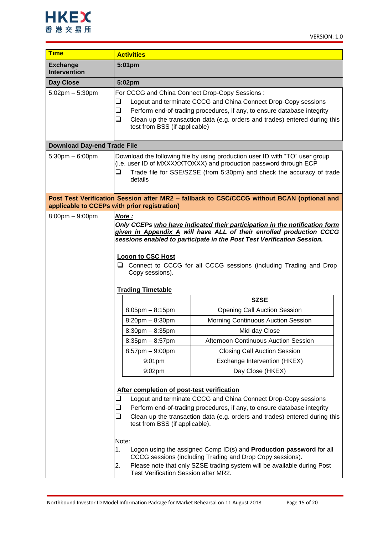

| <b>Time</b>                            | <b>Activities</b>                                                                                                                                                                                                                                                                                                                                                                         |                                                                                                                                                                                                                                                                                                                                                                                                                                               |  |
|----------------------------------------|-------------------------------------------------------------------------------------------------------------------------------------------------------------------------------------------------------------------------------------------------------------------------------------------------------------------------------------------------------------------------------------------|-----------------------------------------------------------------------------------------------------------------------------------------------------------------------------------------------------------------------------------------------------------------------------------------------------------------------------------------------------------------------------------------------------------------------------------------------|--|
| <b>Exchange</b><br><b>Intervention</b> | 5:01pm                                                                                                                                                                                                                                                                                                                                                                                    |                                                                                                                                                                                                                                                                                                                                                                                                                                               |  |
| Day Close                              | 5:02pm                                                                                                                                                                                                                                                                                                                                                                                    |                                                                                                                                                                                                                                                                                                                                                                                                                                               |  |
| $5:02$ pm $-5:30$ pm                   | For CCCG and China Connect Drop-Copy Sessions:<br>⊔<br>$\Box$<br>$\Box$<br>test from BSS (if applicable)                                                                                                                                                                                                                                                                                  | Logout and terminate CCCG and China Connect Drop-Copy sessions<br>Perform end-of-trading procedures, if any, to ensure database integrity<br>Clean up the transaction data (e.g. orders and trades) entered during this                                                                                                                                                                                                                       |  |
| <b>Download Day-end Trade File</b>     |                                                                                                                                                                                                                                                                                                                                                                                           |                                                                                                                                                                                                                                                                                                                                                                                                                                               |  |
| $5:30$ pm $-6:00$ pm                   | ⊔<br>details                                                                                                                                                                                                                                                                                                                                                                              | Download the following file by using production user ID with "TO" user group<br>(i.e. user ID of MXXXXXTOXXX) and production password through ECP<br>Trade file for SSE/SZSE (from 5:30pm) and check the accuracy of trade                                                                                                                                                                                                                    |  |
|                                        | applicable to CCEPs with prior registration)                                                                                                                                                                                                                                                                                                                                              | Post Test Verification Session after MR2 - fallback to CSC/CCCG without BCAN (optional and                                                                                                                                                                                                                                                                                                                                                    |  |
| $8:00 \text{pm} - 9:00 \text{pm}$      | Note:<br>Only CCEPs who have indicated their participation in the notification form<br>given in Appendix A will have ALL of their enrolled production CCCG<br>sessions enabled to participate in the Post Test Verification Session.<br><b>Logon to CSC Host</b><br>⊔<br>Connect to CCCG for all CCCG sessions (including Trading and Drop<br>Copy sessions).<br><b>Trading Timetable</b> |                                                                                                                                                                                                                                                                                                                                                                                                                                               |  |
|                                        |                                                                                                                                                                                                                                                                                                                                                                                           | <b>SZSE</b>                                                                                                                                                                                                                                                                                                                                                                                                                                   |  |
|                                        | $8:05$ pm $- 8:15$ pm                                                                                                                                                                                                                                                                                                                                                                     | <b>Opening Call Auction Session</b>                                                                                                                                                                                                                                                                                                                                                                                                           |  |
|                                        | $8:20$ pm $- 8:30$ pm                                                                                                                                                                                                                                                                                                                                                                     | Morning Continuous Auction Session                                                                                                                                                                                                                                                                                                                                                                                                            |  |
|                                        | $8:30$ pm $- 8:35$ pm                                                                                                                                                                                                                                                                                                                                                                     | Mid-day Close                                                                                                                                                                                                                                                                                                                                                                                                                                 |  |
|                                        | $8:35$ pm $-8:57$ pm                                                                                                                                                                                                                                                                                                                                                                      | Afternoon Continuous Auction Session                                                                                                                                                                                                                                                                                                                                                                                                          |  |
|                                        | $8:57$ pm $-9:00$ pm                                                                                                                                                                                                                                                                                                                                                                      | <b>Closing Call Auction Session</b>                                                                                                                                                                                                                                                                                                                                                                                                           |  |
|                                        | $9:01$ pm                                                                                                                                                                                                                                                                                                                                                                                 | Exchange Intervention (HKEX)                                                                                                                                                                                                                                                                                                                                                                                                                  |  |
|                                        | 9:02pm                                                                                                                                                                                                                                                                                                                                                                                    | Day Close (HKEX)                                                                                                                                                                                                                                                                                                                                                                                                                              |  |
|                                        | After completion of post-test verification<br>❏<br>❏<br>❏<br>test from BSS (if applicable).<br>Note:<br>1.<br>2.<br>Test Verification Session after MR2.                                                                                                                                                                                                                                  | Logout and terminate CCCG and China Connect Drop-Copy sessions<br>Perform end-of-trading procedures, if any, to ensure database integrity<br>Clean up the transaction data (e.g. orders and trades) entered during this<br>Logon using the assigned Comp ID(s) and <b>Production password</b> for all<br>CCCG sessions (including Trading and Drop Copy sessions).<br>Please note that only SZSE trading system will be available during Post |  |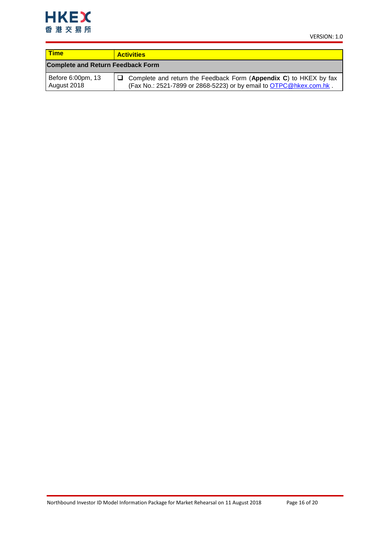

| <b>Time</b>                              | <b>Activities</b>                                                                                                                       |
|------------------------------------------|-----------------------------------------------------------------------------------------------------------------------------------------|
| <b>Complete and Return Feedback Form</b> |                                                                                                                                         |
| Before 6:00pm, 13<br>August 2018         | Complete and return the Feedback Form (Appendix C) to HKEX by fax<br>(Fax No.: 2521-7899 or 2868-5223) or by email to OTPC@hkex.com.hk. |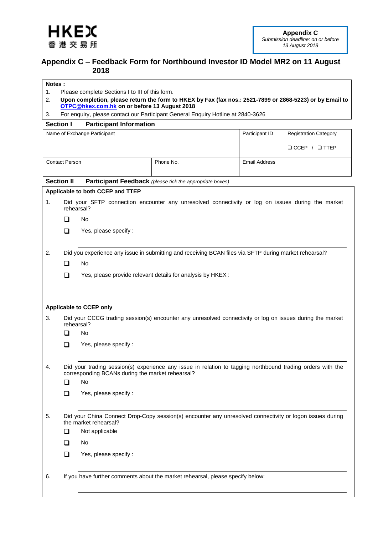<span id="page-16-1"></span>

## <span id="page-16-0"></span>**Appendix C – Feedback Form for Northbound Investor ID Model MR2 on 11 August 2018**

### **Notes :**

- 1. Please complete Sections I to III of this form.
- 2. **Upon completion, please return the form to HKEX by Fax (fax nos.: 2521-7899 or 2868-5223) or by Email to [OTPC@hkex.com.hk](mailto:OTPC@hkex.com.hk) on or before 13 August 2018**
- 3. For enquiry, please contact our Participant General Enquiry Hotline at 2840-3626

### **Section I Participant Information**

|                   |                       | Name of Exchange Participant                           |                                                                                                            | Participant ID       | <b>Registration Category</b> |
|-------------------|-----------------------|--------------------------------------------------------|------------------------------------------------------------------------------------------------------------|----------------------|------------------------------|
|                   |                       |                                                        |                                                                                                            |                      | $\Box$ CCEP / $\Box$ TTEP    |
|                   | <b>Contact Person</b> |                                                        | Phone No.                                                                                                  | <b>Email Address</b> |                              |
|                   |                       |                                                        |                                                                                                            |                      |                              |
| <b>Section II</b> |                       |                                                        | Participant Feedback (please tick the appropriate boxes)                                                   |                      |                              |
|                   |                       | Applicable to both CCEP and TTEP                       |                                                                                                            |                      |                              |
| 1.                | rehearsal?            |                                                        | Did your SFTP connection encounter any unresolved connectivity or log on issues during the market          |                      |                              |
|                   | ◻                     | No                                                     |                                                                                                            |                      |                              |
|                   | ◻                     | Yes, please specify :                                  |                                                                                                            |                      |                              |
|                   |                       |                                                        |                                                                                                            |                      |                              |
| 2.                |                       |                                                        | Did you experience any issue in submitting and receiving BCAN files via SFTP during market rehearsal?      |                      |                              |
|                   | □                     | No.                                                    |                                                                                                            |                      |                              |
|                   | ❏                     |                                                        | Yes, please provide relevant details for analysis by HKEX :                                                |                      |                              |
|                   |                       |                                                        |                                                                                                            |                      |                              |
|                   |                       |                                                        |                                                                                                            |                      |                              |
|                   |                       | <b>Applicable to CCEP only</b>                         |                                                                                                            |                      |                              |
| 3.                | rehearsal?            |                                                        | Did your CCCG trading session(s) encounter any unresolved connectivity or log on issues during the market  |                      |                              |
|                   | ❏                     | No                                                     |                                                                                                            |                      |                              |
|                   | ◻                     | Yes, please specify :                                  |                                                                                                            |                      |                              |
|                   |                       |                                                        |                                                                                                            |                      |                              |
| 4.                |                       |                                                        | Did your trading session(s) experience any issue in relation to tagging northbound trading orders with the |                      |                              |
|                   | ◻                     | corresponding BCANs during the market rehearsal?<br>No |                                                                                                            |                      |                              |
|                   | ❏                     | Yes, please specify :                                  |                                                                                                            |                      |                              |
|                   |                       |                                                        |                                                                                                            |                      |                              |
| 5.                |                       | the market rehearsal?                                  | Did your China Connect Drop-Copy session(s) encounter any unresolved connectivity or logon issues during   |                      |                              |
|                   | ❏                     | Not applicable                                         |                                                                                                            |                      |                              |
|                   | ❏                     | No                                                     |                                                                                                            |                      |                              |
|                   | $\Box$                | Yes, please specify :                                  |                                                                                                            |                      |                              |
|                   |                       |                                                        |                                                                                                            |                      |                              |
| 6.                |                       |                                                        | If you have further comments about the market rehearsal, please specify below:                             |                      |                              |
|                   |                       |                                                        |                                                                                                            |                      |                              |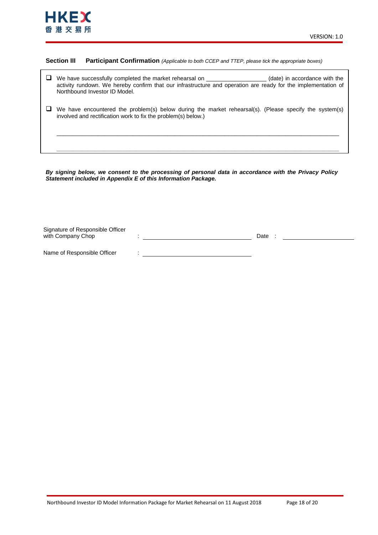### **Section III Participant Confirmation** *(Applicable to both CCEP and TTEP, please tick the appropriate boxes)*

- We have successfully completed the market rehearsal on \_\_\_\_\_\_\_\_\_\_\_\_\_\_\_\_\_\_\_ (date) in accordance with the activity rundown. We hereby confirm that our infrastructure and operation are ready for the implementation of Northbound Investor ID Model.
- $\Box$  We have encountered the problem(s) below during the market rehearsal(s). (Please specify the system(s) involved and rectification work to fix the problem(s) below.)

\_\_\_\_\_\_\_\_\_\_\_\_\_\_\_\_\_\_\_\_\_\_\_\_\_\_\_\_\_\_\_\_\_\_\_\_\_\_\_\_\_\_\_\_\_\_\_\_\_\_\_\_\_\_\_\_\_\_\_\_\_\_\_\_\_\_\_\_\_\_\_\_\_\_\_\_\_\_\_\_\_\_\_\_\_\_\_\_\_

*\_\_\_\_\_\_\_\_\_\_\_\_\_\_\_\_\_\_\_\_\_\_\_\_\_\_\_\_\_\_\_\_\_\_\_\_\_\_\_\_\_\_\_\_\_\_\_\_\_\_\_\_\_\_\_\_\_\_\_\_\_\_\_\_\_\_\_\_\_\_\_\_\_\_\_\_\_\_\_\_\_\_\_\_\_\_\_\_\_*

*By signing below, we consent to the processing of personal data in accordance with the Privacy Policy Statement included in Appendix E of this Information Package.*

| Signature of Responsible Officer |      |  |
|----------------------------------|------|--|
| with Company Chop                | Date |  |
|                                  |      |  |
| Name of Responsible Officer      |      |  |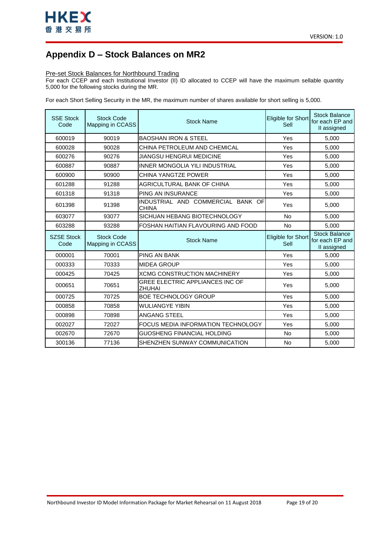

## <span id="page-18-0"></span>**Appendix D – Stock Balances on MR2**

### Pre-set Stock Balances for Northbound Trading

For each CCEP and each Institutional Investor (II) ID allocated to CCEP will have the maximum sellable quantity 5,000 for the following stocks during the MR.

For each Short Selling Security in the MR, the maximum number of shares available for short selling is 5,000.

| <b>SSE Stock</b><br>Code  | <b>Stock Code</b><br>Mapping in CCASS | <b>Stock Name</b>                                 | Eligible for Short<br>Sell | <b>Stock Balance</b><br>for each EP and<br>II assigned |
|---------------------------|---------------------------------------|---------------------------------------------------|----------------------------|--------------------------------------------------------|
| 600019                    | 90019                                 | <b>BAOSHAN IRON &amp; STEEL</b>                   | Yes                        | 5,000                                                  |
| 600028                    | 90028                                 | CHINA PETROLEUM AND CHEMICAL                      | Yes                        | 5,000                                                  |
| 600276                    | 90276                                 | JIANGSU HENGRUI MEDICINE                          | Yes                        | 5,000                                                  |
| 600887                    | 90887                                 | INNER MONGOLIA YILI INDUSTRIAL                    | Yes                        | 5.000                                                  |
| 600900                    | 90900                                 | CHINA YANGTZE POWER                               | Yes                        | 5,000                                                  |
| 601288                    | 91288                                 | AGRICULTURAL BANK OF CHINA                        | Yes                        | 5,000                                                  |
| 601318                    | 91318                                 | PING AN INSURANCE                                 | Yes                        | 5,000                                                  |
| 601398                    | 91398                                 | INDUSTRIAL AND COMMERCIAL BANK OF<br><b>CHINA</b> | Yes                        | 5,000                                                  |
| 603077                    | 93077                                 | SICHUAN HEBANG BIOTECHNOLOGY                      | <b>No</b>                  | 5.000                                                  |
| 603288                    | 93288                                 | FOSHAN HAITIAN FLAVOURING AND FOOD                | <b>No</b>                  | 5,000                                                  |
|                           |                                       |                                                   |                            |                                                        |
| <b>SZSE Stock</b><br>Code | <b>Stock Code</b><br>Mapping in CCASS | <b>Stock Name</b>                                 | Eligible for Short<br>Sell | <b>Stock Balance</b><br>for each EP and<br>II assigned |
| 000001                    | 70001                                 | <b>PING AN BANK</b>                               | Yes                        | 5,000                                                  |
| 000333                    | 70333                                 | <b>MIDEA GROUP</b>                                | Yes                        | 5,000                                                  |
| 000425                    | 70425                                 | <b>XCMG CONSTRUCTION MACHINERY</b>                | Yes                        | 5,000                                                  |
| 000651                    | 70651                                 | GREE ELECTRIC APPLIANCES INC OF<br>ZHUHAI         | Yes                        | 5,000                                                  |
| 000725                    | 70725                                 | <b>BOE TECHNOLOGY GROUP</b>                       | Yes                        | 5,000                                                  |
| 000858                    | 70858                                 | <b>WULIANGYE YIBIN</b>                            | Yes                        | 5,000                                                  |
| 000898                    | 70898                                 | ANGANG STEEL                                      | Yes                        | 5,000                                                  |
| 002027                    | 72027                                 | FOCUS MEDIA INFORMATION TECHNOLOGY                | Yes                        | 5,000                                                  |
| 002670                    | 72670                                 | GUOSHENG FINANCIAL HOLDING                        | No                         | 5,000                                                  |